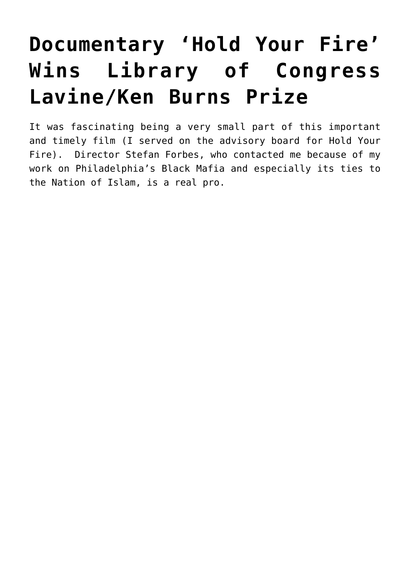## **[Documentary 'Hold Your Fire'](https://seanpatrickgriffin.net/documentary-hold-your-fire-wins-library-of-congress-lavine-ken-burns-prize/) [Wins Library of Congress](https://seanpatrickgriffin.net/documentary-hold-your-fire-wins-library-of-congress-lavine-ken-burns-prize/) [Lavine/Ken Burns Prize](https://seanpatrickgriffin.net/documentary-hold-your-fire-wins-library-of-congress-lavine-ken-burns-prize/)**

It was fascinating being a very small part of this important and timely film (I served on the advisory board for [Hold Your](https://www.holdyourfirefilm.com/) [Fire](https://www.holdyourfirefilm.com/)). Director Stefan Forbes, who contacted me because of my work on [Philadelphia's Black Mafia](https://seanpatrickgriffin.net/black-brothers-inc/) and especially its ties to the Nation of Islam, is a real pro.